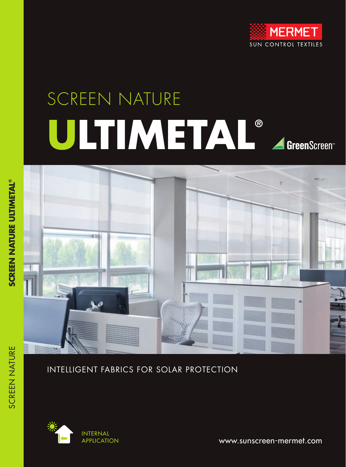

# SCREEN NATURE **ULTIMETAL®** GreenScreen<sup>®</sup>



### INTELLIGENT FABRICS FOR SOLAR PROTECTION



www.sunscreen-mermet.com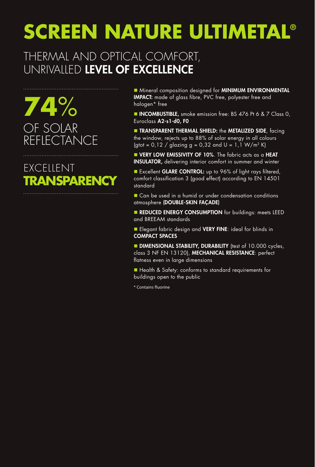## THERMAL AND OPTICAL COMFORT, UNRIVALLED LEVEL OF EXCELLENCE

**74**% OF SOLAR REFLECTANCE

# EXCELLENT **TRANSPARENCY**

■ Mineral composition designed for MINIMUM ENVIRONMENTAL IMPACT: made of glass fibre, PVC free, polyester free and halogen\* free

**NICOMBUSTIBLE,** smoke emission free: BS 476 Pt 6 & 7 Class 0, Euroclass A2-s1-d0, F0

**n TRANSPARENT THERMAL SHIELD:** the **METALIZED SIDE**, facing the window, rejects up to 88% of solar energy in all colours (gtot =  $0,12$  / glazing g =  $0,32$  and U =  $1,1$  W/m<sup>2</sup> K)

**N VERY LOW EMISSIVITY OF 10%**. The fabric acts as a HEAT INSULATOR, delivering interior comfort in summer and winter

Excellent GLARE CONTROL: up to 96% of light rays filtered, comfort classification 3 (good effect) according to EN 14501 standard

■ Can be used in a humid or under condensation conditions atmosphere (DOUBLE-SKIN FAÇADE)

**REDUCED ENERGY CONSUMPTION** for buildings: meets LEED and BREEAM standards

Elegant fabric design and VERY FINE: ideal for blinds in COMPACT SPACES

**DIMENSIONAL STABILITY, DURABILITY** (test of 10.000 cycles, class 3 NF EN 13120), MECHANICAL RESISTANCE: perfect flatness even in large dimensions

■ Health & Safety: conforms to standard requirements for buildings open to the public

\* Contains fluorine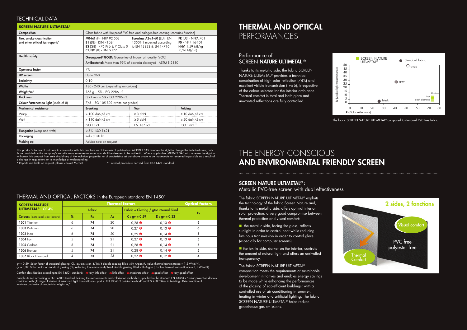This product's technical data are in conformity with this brochure as of the date of publication. MERMET SAS reserves the right to change the technical data; only those provided on the company's website www.sunscreen-mermet.com shall be deemed to be authentic. Where applicable, MERMET SAS also reserves the right to withdraw this product from sale should any of the technical properties or characteristics set out above prove to be inadequate or rendered impossible as a result of a change in regulations or in knowledge or understanding.

\* Reports available on request, please contact Mermet \* \* \* Internal procedure derived from ISO 1421 standard

| <b>SCREEN NATURE ULTIMETAL<sup>®</sup></b>                     |                                                                                                                                                       |                                                           |                                                                                                       |  |  |  |  |  |
|----------------------------------------------------------------|-------------------------------------------------------------------------------------------------------------------------------------------------------|-----------------------------------------------------------|-------------------------------------------------------------------------------------------------------|--|--|--|--|--|
| Composition                                                    | Glass fabric with fire-proof PVC-free and halogen-free coating (contains fluorine)                                                                    |                                                           |                                                                                                       |  |  |  |  |  |
| Fire, smoke classification<br>and other official test reports* | <b>MO-M1</b> (F) - NFP 92 503<br><b>B1</b> (DE) - DIN 4102-1<br>BS (GB) - 476 Pt 6 & 7 Class 0 to EN 13823 & EN 14716<br><b>C UNO (IT) - UNI 9177</b> | Euroclass A2-s1-d0 (EU) - EN<br>13501-1 mounted according | <b>FR (US) - NFPA 701</b><br>$FO - NF F 16-101$<br><b>HHV:</b> 1,59 MJ/kg<br>$(0, 26 \text{ MJ/m}^2)$ |  |  |  |  |  |
| Health, safety                                                 | Greenguard® GOLD: Guarantee of indoor air quality (VOC)                                                                                               |                                                           |                                                                                                       |  |  |  |  |  |
|                                                                | Antibacterial: More than 99% of bacteria destroyed - ASTM E 2180                                                                                      |                                                           |                                                                                                       |  |  |  |  |  |
| <b>Openness factor</b>                                         | 4%                                                                                                                                                    |                                                           |                                                                                                       |  |  |  |  |  |
| <b>UV</b> screen                                               | Up to 96%                                                                                                                                             |                                                           |                                                                                                       |  |  |  |  |  |
| <b>Emissivity</b>                                              | 0,10                                                                                                                                                  |                                                           |                                                                                                       |  |  |  |  |  |
| <b>Widths</b>                                                  | 180 - 240 cm (depending on colours)                                                                                                                   |                                                           |                                                                                                       |  |  |  |  |  |
| Weight/m <sup>2</sup>                                          | $165 g \pm 5\%$ - ISO 2286 - 2                                                                                                                        |                                                           |                                                                                                       |  |  |  |  |  |
| <b>Thickness</b>                                               | $0,21$ mm $\pm$ 5% - ISO 2286 - 3                                                                                                                     |                                                           |                                                                                                       |  |  |  |  |  |
| <b>Colour Fasteness to light (scale of 8)</b>                  | 7/8 - ISO 105 B02 (white not graded)                                                                                                                  |                                                           |                                                                                                       |  |  |  |  |  |
| <b>Mechanical resistance</b>                                   | <b>Breaking</b>                                                                                                                                       | <b>Tear</b>                                               | <b>Folding</b>                                                                                        |  |  |  |  |  |
| Warp                                                           | $> 100$ daN/5 cm                                                                                                                                      | $\geq$ 3 daN                                              | $\geq 10$ daN/5 cm                                                                                    |  |  |  |  |  |
| Weft                                                           | > 110 daN/5 cm                                                                                                                                        | $\geq$ 5 daN                                              | $\geq 20$ daN/5 cm                                                                                    |  |  |  |  |  |
|                                                                | <b>ISO 1421</b>                                                                                                                                       | EN 1875-3                                                 | ISO 1421**                                                                                            |  |  |  |  |  |
| Elongation (warp and weft)                                     | $< 5\% - ISO 1421$                                                                                                                                    |                                                           |                                                                                                       |  |  |  |  |  |
| Packaging                                                      | Rolls of 50 lm                                                                                                                                        |                                                           |                                                                                                       |  |  |  |  |  |
| Making up                                                      | Advice note on request                                                                                                                                |                                                           |                                                                                                       |  |  |  |  |  |

| <b>SCREEN NATURE</b>                    | <b>Thermal factors</b> |           |                                        |                                  |                 | <b>Optical factors</b> |
|-----------------------------------------|------------------------|-----------|----------------------------------------|----------------------------------|-----------------|------------------------|
| <b>ULTIMETAL<sup>®</sup> - OF 4%</b>    | <b>Fabric</b>          |           | Fabric + Glazing / gtot internal blind |                                  |                 |                        |
| <b>Colours</b> (metalized side factors) | <b>Ts</b>              | <b>Rs</b> | As                                     | $C: gv = 0.59$                   | $D : gv = 0,32$ | Tv                     |
| 1301 Titanium                           | 6                      | 74        | 20                                     | $0.28$ <b><math>\odot</math></b> | $0.13$ $\odot$  | o                      |
| 1303 Platinium                          | 6                      | 74        | 20                                     | $0,27$ <b><math>\odot</math></b> | $0.13$ $\odot$  | Ô                      |
| $1302$ $ln$ ox                          | 6                      | 74        | 20                                     | $0,29$ <b><math>\odot</math></b> | $0.14$ $\odot$  |                        |
| 1304 Iron                               | 5                      | 74        | 21                                     | $0,27$ <b><math>\odot</math></b> | $0.13$ $\odot$  |                        |
| 1305 Carbon                             | 5                      | 74        | 21                                     | $0,28$ <b><math>\odot</math></b> | $0.14$ $\odot$  |                        |
| 1306 Bronze                             | 5                      | 74        | 21                                     | $0.28$ <b><math>\odot</math></b> | $0.14$ $\odot$  |                        |
| 1307 Black Diamond                      | 4                      | 73        | 23                                     | $0.27$ <b><math>\odot</math></b> | $0.12$ $\Theta$ |                        |

Thanks to its metallic side, the fabric SCREEN NATURE ULTIMETAL® provides a technical combination of high solar reflection (74%) and excellent visible transmission (Tv≤6), irrespective of the colour selected for the interior ambiance. Thermal comfort is total and both glare and unwanted reflections are fully controlled.

#### Performance of SCREEN NATURE ULTIMETAL ®



 $\blacksquare$  the metallic side, facing the glass, reflects sunlight in order to control heat while reducing luminous transmission in order to control glare (especially for computer screens),

 $\blacksquare$  the textile side, darker on the interior, controls the amount of natural light and offers an unrivalled transparency.

#### TECHNICAL DATA

#### THERMAL AND OPTICAL FACTORS in the European standard EN 14501

### THERMAL AND OPTICAL PERFORMANCES

The fabric SCREEN NATURE ULTIMETAL® exploits the technology of the fabric Screen Nature and, thanks to its metallic side, offers optimal interior solar protection, a very good compromise between thermal protection and visual comfort:

The fabric SCREEN NATURE ULTIMETAL® composition meets the requirements of sustainable development initiatives and enables energy savings to be made while enhancing the performances of the glazing of eco-efficient buildings; with a controlled use of air conditioning in summer, heating in winter and artificial lighting. The fabric SCREEN NATURE ULTIMETAL® helps reduce greenhouse gas emissions.

#### SCREEN NATURE ULTIMETAL® :

Metallic PVC-free screen with dual effectiveness

## THE ENERGY CONSCIOUS AND ENVIRONMENTAL FRIENDLY SCREEN



gv = 0,59: Solar factor of standard glazing (C), low-emission 4/16/4 double glazing filled with Argon (U value thermal transmittance = 1,2 W/m²K). gv = 0,32: Solar factor of standard glazing (D), reflecting low-emission 4/16/4 double glazing filled with Argon (U value thermal transmittance = 1,1 W/m²K).

Comfort classification according to EN 14501 standard:  $\bullet$  very little effect  $\bullet$  little effect  $\bullet$  moderate effect  $\bullet$  good effect  $\bullet$  very good effect

Samples tested according to EN 14500 standard defining the measurements and calculation methods as specified in the standard EN 13363-2 "Solar protection devices combined with glazing calculation of solar and light transmittance - part 2: EN 13363-2 detailed method" and EN 410 "Glass in building - Determination of luminous and solar characteristics of glazing".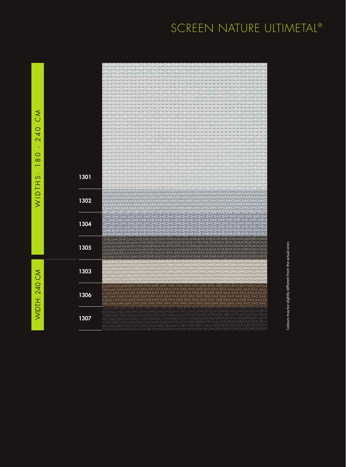WIDTH: 240 CM WIDTH: 240 CM



Colours may be slightly different from the actual ones Colours may be slightly different from the actual ones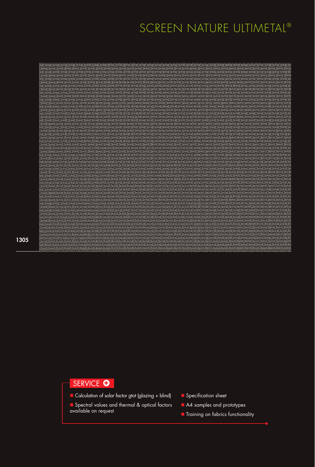1305

#### SERVICE O

- Calculation of solar factor gtot (glazing + blind)
- Spectral values and thermal & optical factors available on request
- $\blacksquare$  Specification sheet
- A4 samples and prototypes
- **n** Training on fabrics functionality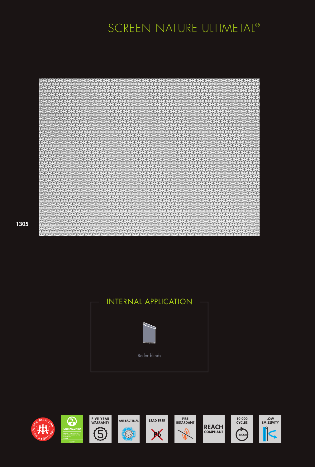